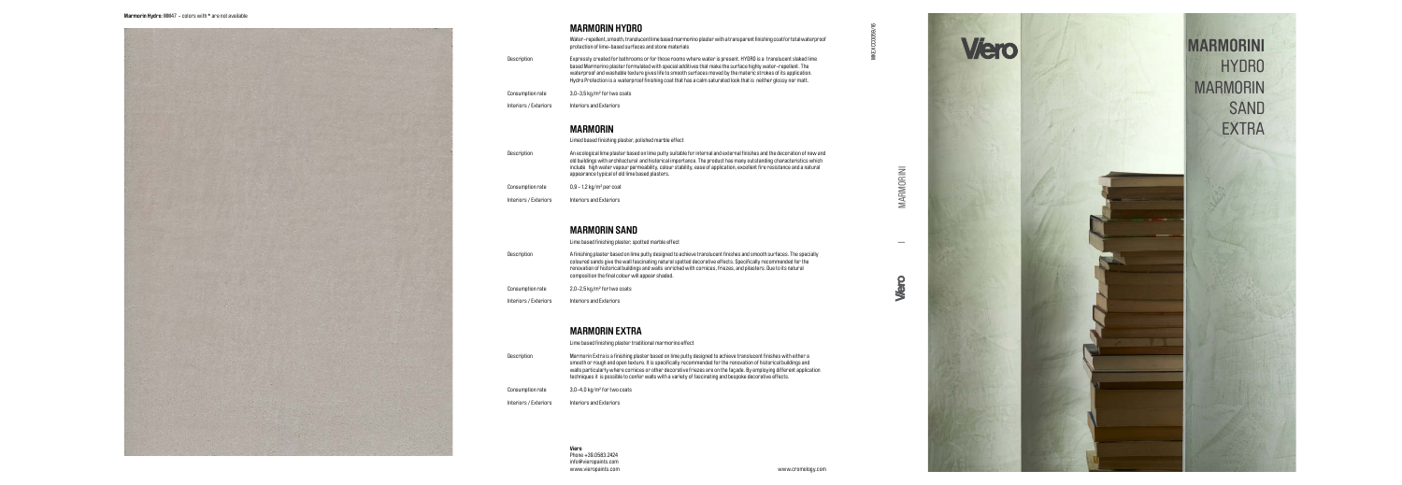MARMORINI MARMORINI

- Description Expressly created for bathrooms or for those rooms where water is present. HYDRO is a translucent slaked lime based Marmorino plaster formulated with special additives that make the surface highly water-repellent. The waterproof and washable texture gives life to smooth surfaces moved by the materic strokes of its application. Hydro Protection is a waterproof finishing coat that has a calm saturated look that is neither glossy nor matt.
- Consumption rate 3,0-3,5 kg/m² for two coats
- Interiors / Exteriors Interiors and Exteriors





Water-repellent, smooth, translucent lime based marmorino plaster with a transparent finishing coat for total waterproof protection of lime-based surfaces and stone materials

## **MARMORIN HYDRO**

- Description An ecological lime plaster based on lime putty suitable for internal and external finishes and the decoration of new and old buildings with architectural and historical importance. The product has many outstanding characteristics which include high water vapour permeability, colour stability, ease of application, excellent fire resistance and a natural appearance typical of old lime based plasters.
- Consumption rate 0,9 1,2 kg/m² per coat
- Interiors / Exteriors Interiors and Exteriors



- Description A finishing plaster based on lime putty designed to achieve translucent finishes and smooth surfaces. The specially coloured sands give the wall fascinating natural spotted decorative effects. Specifically recommended for the renovation of historical buildings and walls enriched with cornices, friezes, and pilasters. Due to its natural composition the final colour will appear shaded.
- Consumption rate 2,0-2,5 kg/m² for two coats
- Interiors / Exteriors Interiors and Exteriors

|                | Lime based finishing plaster traditional marmorino effect                                                                                                                                                                                                                                                                                                                                                                                                             |
|----------------|-----------------------------------------------------------------------------------------------------------------------------------------------------------------------------------------------------------------------------------------------------------------------------------------------------------------------------------------------------------------------------------------------------------------------------------------------------------------------|
| otion          | Marmorin Extra is a finishing plaster based on lime putty designed to achieve translucent finishes with either a<br>smooth or rough and open texture. It is specifically recommended for the renovation of historical buildings and<br>walls particularly where cornices or other decorative friezes are on the façade. By employing different application<br>techniques it is possible to confer walls with a variety of fascinating and bespoke decorative effects. |
| mption rate    | 3,0-4,0 kg/m <sup>2</sup> for two coats                                                                                                                                                                                                                                                                                                                                                                                                                               |
| rs / Exteriors | Interiors and Exteriors                                                                                                                                                                                                                                                                                                                                                                                                                                               |

## **MARMORIN EXTRA**

Limed based finishing plaster, polished marble effect

## **MARMORIN**

Lime based finishing plaster, spotted marble effect

## **MARMORIN SAND**

**Viero** Phone +39.0583.2424 info@vieropaints.com **MARMORINI** HYDRO MARMORIN SAND **EXTRA**